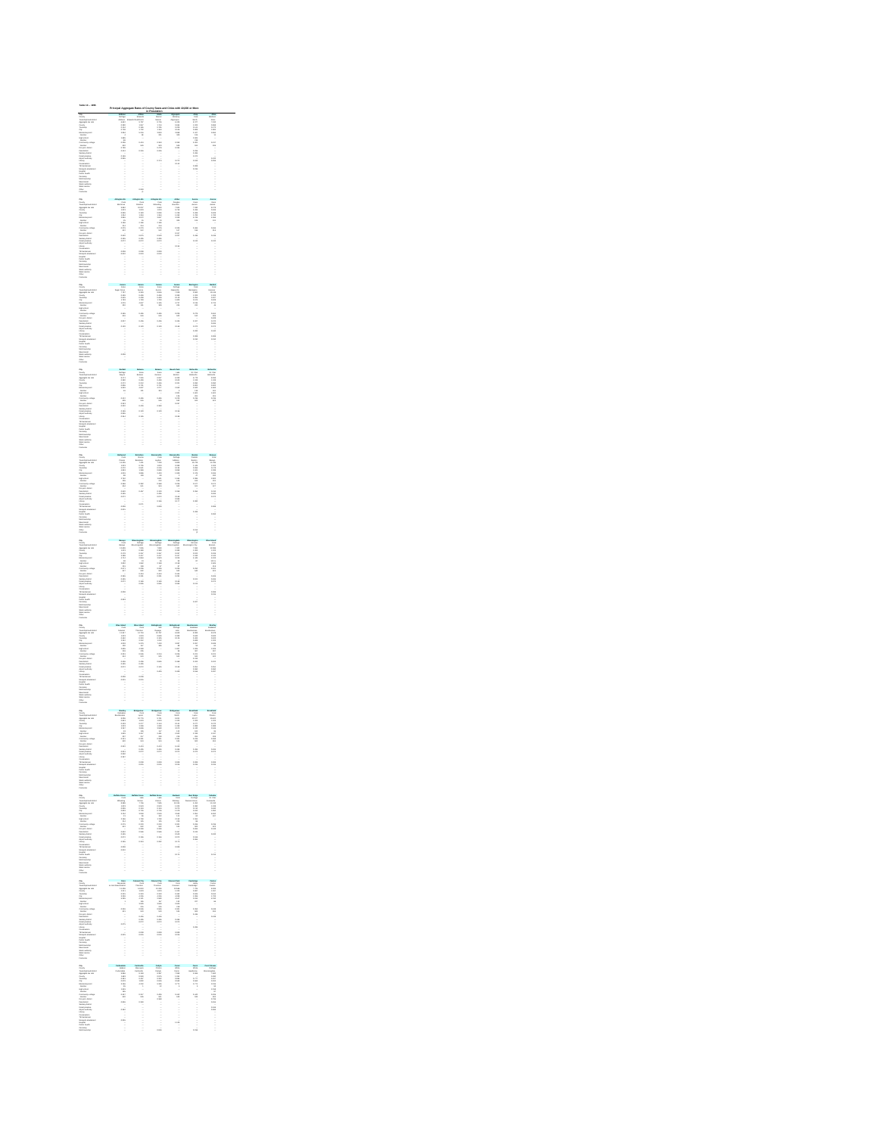|                                                                                                                                                                                                                              | enter the contribution of the contribution of the contribution of the contribution of the contribution of the contribution of the contribution of the contribution of the contribution of the contribution of the contributio |                                                                                                                  |                                                                                                                                                                                                                               |  |
|------------------------------------------------------------------------------------------------------------------------------------------------------------------------------------------------------------------------------|-------------------------------------------------------------------------------------------------------------------------------------------------------------------------------------------------------------------------------|------------------------------------------------------------------------------------------------------------------|-------------------------------------------------------------------------------------------------------------------------------------------------------------------------------------------------------------------------------|--|
|                                                                                                                                                                                                                              |                                                                                                                                                                                                                               |                                                                                                                  |                                                                                                                                                                                                                               |  |
|                                                                                                                                                                                                                              |                                                                                                                                                                                                                               |                                                                                                                  |                                                                                                                                                                                                                               |  |
|                                                                                                                                                                                                                              |                                                                                                                                                                                                                               |                                                                                                                  |                                                                                                                                                                                                                               |  |
|                                                                                                                                                                                                                              |                                                                                                                                                                                                                               |                                                                                                                  |                                                                                                                                                                                                                               |  |
|                                                                                                                                                                                                                              |                                                                                                                                                                                                                               |                                                                                                                  |                                                                                                                                                                                                                               |  |
|                                                                                                                                                                                                                              |                                                                                                                                                                                                                               |                                                                                                                  |                                                                                                                                                                                                                               |  |
|                                                                                                                                                                                                                              |                                                                                                                                                                                                                               |                                                                                                                  |                                                                                                                                                                                                                               |  |
|                                                                                                                                                                                                                              |                                                                                                                                                                                                                               |                                                                                                                  |                                                                                                                                                                                                                               |  |
|                                                                                                                                                                                                                              |                                                                                                                                                                                                                               |                                                                                                                  |                                                                                                                                                                                                                               |  |
|                                                                                                                                                                                                                              |                                                                                                                                                                                                                               |                                                                                                                  |                                                                                                                                                                                                                               |  |
|                                                                                                                                                                                                                              |                                                                                                                                                                                                                               |                                                                                                                  |                                                                                                                                                                                                                               |  |
|                                                                                                                                                                                                                              |                                                                                                                                                                                                                               |                                                                                                                  |                                                                                                                                                                                                                               |  |
|                                                                                                                                                                                                                              |                                                                                                                                                                                                                               |                                                                                                                  |                                                                                                                                                                                                                               |  |
|                                                                                                                                                                                                                              |                                                                                                                                                                                                                               |                                                                                                                  |                                                                                                                                                                                                                               |  |
|                                                                                                                                                                                                                              |                                                                                                                                                                                                                               |                                                                                                                  |                                                                                                                                                                                                                               |  |
|                                                                                                                                                                                                                              |                                                                                                                                                                                                                               |                                                                                                                  |                                                                                                                                                                                                                               |  |
|                                                                                                                                                                                                                              |                                                                                                                                                                                                                               |                                                                                                                  |                                                                                                                                                                                                                               |  |
|                                                                                                                                                                                                                              |                                                                                                                                                                                                                               |                                                                                                                  |                                                                                                                                                                                                                               |  |
|                                                                                                                                                                                                                              |                                                                                                                                                                                                                               |                                                                                                                  |                                                                                                                                                                                                                               |  |
|                                                                                                                                                                                                                              |                                                                                                                                                                                                                               |                                                                                                                  |                                                                                                                                                                                                                               |  |
|                                                                                                                                                                                                                              |                                                                                                                                                                                                                               |                                                                                                                  |                                                                                                                                                                                                                               |  |
|                                                                                                                                                                                                                              |                                                                                                                                                                                                                               |                                                                                                                  |                                                                                                                                                                                                                               |  |
|                                                                                                                                                                                                                              |                                                                                                                                                                                                                               |                                                                                                                  |                                                                                                                                                                                                                               |  |
|                                                                                                                                                                                                                              |                                                                                                                                                                                                                               |                                                                                                                  |                                                                                                                                                                                                                               |  |
|                                                                                                                                                                                                                              |                                                                                                                                                                                                                               |                                                                                                                  |                                                                                                                                                                                                                               |  |
|                                                                                                                                                                                                                              |                                                                                                                                                                                                                               |                                                                                                                  |                                                                                                                                                                                                                               |  |
|                                                                                                                                                                                                                              |                                                                                                                                                                                                                               |                                                                                                                  |                                                                                                                                                                                                                               |  |
| talentiff and the state of the contraction of the contraction of the contraction of the contraction of the contraction of the contraction of the contraction of the contraction of the contraction of the contraction of the |                                                                                                                                                                                                                               |                                                                                                                  | and and all the second contracts of the second contracts and the second contracts of the second contracts of the second contracts of the second contracts of the second contracts of the second contracts of the second contr |  |
|                                                                                                                                                                                                                              |                                                                                                                                                                                                                               |                                                                                                                  |                                                                                                                                                                                                                               |  |
|                                                                                                                                                                                                                              |                                                                                                                                                                                                                               |                                                                                                                  |                                                                                                                                                                                                                               |  |
|                                                                                                                                                                                                                              |                                                                                                                                                                                                                               |                                                                                                                  |                                                                                                                                                                                                                               |  |
|                                                                                                                                                                                                                              |                                                                                                                                                                                                                               |                                                                                                                  |                                                                                                                                                                                                                               |  |
|                                                                                                                                                                                                                              |                                                                                                                                                                                                                               |                                                                                                                  |                                                                                                                                                                                                                               |  |
|                                                                                                                                                                                                                              |                                                                                                                                                                                                                               |                                                                                                                  |                                                                                                                                                                                                                               |  |
|                                                                                                                                                                                                                              |                                                                                                                                                                                                                               |                                                                                                                  |                                                                                                                                                                                                                               |  |
|                                                                                                                                                                                                                              |                                                                                                                                                                                                                               |                                                                                                                  |                                                                                                                                                                                                                               |  |
|                                                                                                                                                                                                                              |                                                                                                                                                                                                                               |                                                                                                                  |                                                                                                                                                                                                                               |  |
|                                                                                                                                                                                                                              |                                                                                                                                                                                                                               |                                                                                                                  |                                                                                                                                                                                                                               |  |
|                                                                                                                                                                                                                              |                                                                                                                                                                                                                               |                                                                                                                  |                                                                                                                                                                                                                               |  |
|                                                                                                                                                                                                                              |                                                                                                                                                                                                                               |                                                                                                                  |                                                                                                                                                                                                                               |  |
|                                                                                                                                                                                                                              |                                                                                                                                                                                                                               |                                                                                                                  |                                                                                                                                                                                                                               |  |
|                                                                                                                                                                                                                              |                                                                                                                                                                                                                               |                                                                                                                  |                                                                                                                                                                                                                               |  |
|                                                                                                                                                                                                                              |                                                                                                                                                                                                                               |                                                                                                                  |                                                                                                                                                                                                                               |  |
|                                                                                                                                                                                                                              |                                                                                                                                                                                                                               |                                                                                                                  |                                                                                                                                                                                                                               |  |
|                                                                                                                                                                                                                              |                                                                                                                                                                                                                               |                                                                                                                  |                                                                                                                                                                                                                               |  |
|                                                                                                                                                                                                                              |                                                                                                                                                                                                                               |                                                                                                                  |                                                                                                                                                                                                                               |  |
|                                                                                                                                                                                                                              |                                                                                                                                                                                                                               |                                                                                                                  |                                                                                                                                                                                                                               |  |
|                                                                                                                                                                                                                              |                                                                                                                                                                                                                               |                                                                                                                  |                                                                                                                                                                                                                               |  |
|                                                                                                                                                                                                                              |                                                                                                                                                                                                                               |                                                                                                                  |                                                                                                                                                                                                                               |  |
|                                                                                                                                                                                                                              |                                                                                                                                                                                                                               |                                                                                                                  |                                                                                                                                                                                                                               |  |
|                                                                                                                                                                                                                              |                                                                                                                                                                                                                               | orien ora caming a consistent and the second contract of the construction of the construction of the contract of | Recommend started and manufacture and the communications of the commutation of                                                                                                                                                |  |
|                                                                                                                                                                                                                              |                                                                                                                                                                                                                               |                                                                                                                  |                                                                                                                                                                                                                               |  |
|                                                                                                                                                                                                                              |                                                                                                                                                                                                                               |                                                                                                                  |                                                                                                                                                                                                                               |  |
|                                                                                                                                                                                                                              |                                                                                                                                                                                                                               |                                                                                                                  |                                                                                                                                                                                                                               |  |
|                                                                                                                                                                                                                              |                                                                                                                                                                                                                               |                                                                                                                  |                                                                                                                                                                                                                               |  |
|                                                                                                                                                                                                                              |                                                                                                                                                                                                                               |                                                                                                                  |                                                                                                                                                                                                                               |  |
|                                                                                                                                                                                                                              |                                                                                                                                                                                                                               |                                                                                                                  |                                                                                                                                                                                                                               |  |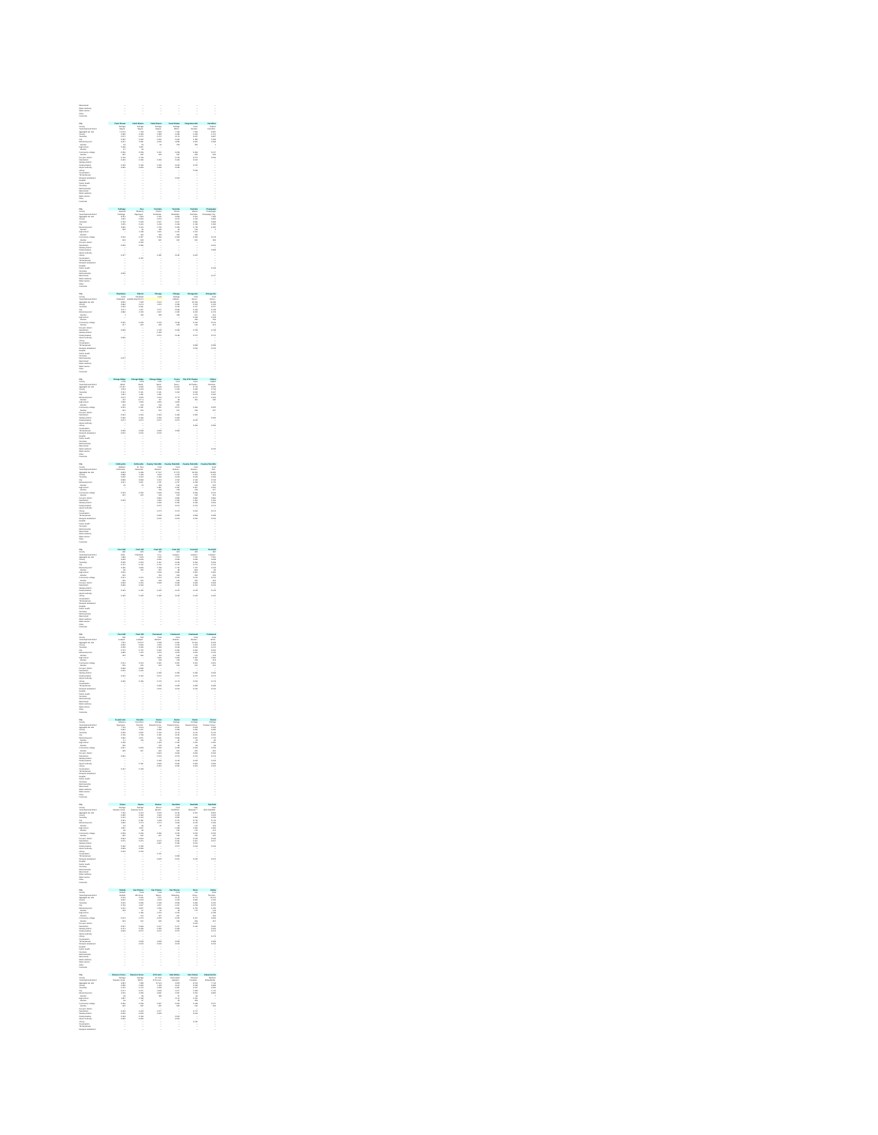|                                                                                                                |                                                                                                                                                                                                                                | $\begin{array}{cccccccccccccc} 0.01 & 0.01 & 0.01 & 0.01 & 0.01 & 0.01 & 0.01 & 0.01 & 0.01 & 0.01 & 0.01 & 0.01 & 0.01 & 0.01 & 0.01 & 0.01 & 0.01 & 0.01 & 0.01 & 0.01 & 0.01 & 0.01 & 0.01 & 0.01 & 0.01 & 0.01 & 0.01 & 0.01 & 0.01 & 0.01 & 0.01 & 0.01 & 0.01 & 0.01 & 0.01 &$ |                                                                                                                 |  |  |
|----------------------------------------------------------------------------------------------------------------|--------------------------------------------------------------------------------------------------------------------------------------------------------------------------------------------------------------------------------|--------------------------------------------------------------------------------------------------------------------------------------------------------------------------------------------------------------------------------------------------------------------------------------|-----------------------------------------------------------------------------------------------------------------|--|--|
|                                                                                                                |                                                                                                                                                                                                                                |                                                                                                                                                                                                                                                                                      |                                                                                                                 |  |  |
|                                                                                                                |                                                                                                                                                                                                                                |                                                                                                                                                                                                                                                                                      |                                                                                                                 |  |  |
|                                                                                                                |                                                                                                                                                                                                                                |                                                                                                                                                                                                                                                                                      |                                                                                                                 |  |  |
|                                                                                                                |                                                                                                                                                                                                                                |                                                                                                                                                                                                                                                                                      |                                                                                                                 |  |  |
|                                                                                                                |                                                                                                                                                                                                                                |                                                                                                                                                                                                                                                                                      |                                                                                                                 |  |  |
|                                                                                                                |                                                                                                                                                                                                                                |                                                                                                                                                                                                                                                                                      |                                                                                                                 |  |  |
|                                                                                                                |                                                                                                                                                                                                                                |                                                                                                                                                                                                                                                                                      |                                                                                                                 |  |  |
|                                                                                                                |                                                                                                                                                                                                                                |                                                                                                                                                                                                                                                                                      |                                                                                                                 |  |  |
|                                                                                                                |                                                                                                                                                                                                                                |                                                                                                                                                                                                                                                                                      |                                                                                                                 |  |  |
|                                                                                                                |                                                                                                                                                                                                                                |                                                                                                                                                                                                                                                                                      |                                                                                                                 |  |  |
| per a complete de la complete de la completa de la complete de la complete de la complete de la complete de la | Blumsant in the main material prime, which we have been assumed them who are considered to main and the material control of the surface of the surface of the surface of the surface of the surface of the surface of the surf |                                                                                                                                                                                                                                                                                      | NESSEES POPULATION CONTINUES INTO A CONTINUES INTO A CONTINUES OF A SERVICE OF A CONTINUES INTERFERING A CONTIN |  |  |
|                                                                                                                |                                                                                                                                                                                                                                |                                                                                                                                                                                                                                                                                      |                                                                                                                 |  |  |
|                                                                                                                |                                                                                                                                                                                                                                |                                                                                                                                                                                                                                                                                      |                                                                                                                 |  |  |
|                                                                                                                |                                                                                                                                                                                                                                |                                                                                                                                                                                                                                                                                      |                                                                                                                 |  |  |
|                                                                                                                |                                                                                                                                                                                                                                |                                                                                                                                                                                                                                                                                      |                                                                                                                 |  |  |
|                                                                                                                |                                                                                                                                                                                                                                |                                                                                                                                                                                                                                                                                      |                                                                                                                 |  |  |
|                                                                                                                |                                                                                                                                                                                                                                |                                                                                                                                                                                                                                                                                      |                                                                                                                 |  |  |
|                                                                                                                |                                                                                                                                                                                                                                |                                                                                                                                                                                                                                                                                      |                                                                                                                 |  |  |
|                                                                                                                |                                                                                                                                                                                                                                |                                                                                                                                                                                                                                                                                      |                                                                                                                 |  |  |
|                                                                                                                |                                                                                                                                                                                                                                |                                                                                                                                                                                                                                                                                      |                                                                                                                 |  |  |
|                                                                                                                |                                                                                                                                                                                                                                |                                                                                                                                                                                                                                                                                      |                                                                                                                 |  |  |
|                                                                                                                |                                                                                                                                                                                                                                |                                                                                                                                                                                                                                                                                      |                                                                                                                 |  |  |
|                                                                                                                |                                                                                                                                                                                                                                |                                                                                                                                                                                                                                                                                      |                                                                                                                 |  |  |
|                                                                                                                |                                                                                                                                                                                                                                |                                                                                                                                                                                                                                                                                      |                                                                                                                 |  |  |
|                                                                                                                |                                                                                                                                                                                                                                |                                                                                                                                                                                                                                                                                      |                                                                                                                 |  |  |
|                                                                                                                |                                                                                                                                                                                                                                |                                                                                                                                                                                                                                                                                      |                                                                                                                 |  |  |
|                                                                                                                |                                                                                                                                                                                                                                |                                                                                                                                                                                                                                                                                      |                                                                                                                 |  |  |
|                                                                                                                |                                                                                                                                                                                                                                |                                                                                                                                                                                                                                                                                      |                                                                                                                 |  |  |
|                                                                                                                |                                                                                                                                                                                                                                |                                                                                                                                                                                                                                                                                      |                                                                                                                 |  |  |
|                                                                                                                |                                                                                                                                                                                                                                |                                                                                                                                                                                                                                                                                      |                                                                                                                 |  |  |
|                                                                                                                |                                                                                                                                                                                                                                |                                                                                                                                                                                                                                                                                      |                                                                                                                 |  |  |
|                                                                                                                |                                                                                                                                                                                                                                |                                                                                                                                                                                                                                                                                      |                                                                                                                 |  |  |
|                                                                                                                |                                                                                                                                                                                                                                |                                                                                                                                                                                                                                                                                      |                                                                                                                 |  |  |
|                                                                                                                |                                                                                                                                                                                                                                |                                                                                                                                                                                                                                                                                      |                                                                                                                 |  |  |
|                                                                                                                |                                                                                                                                                                                                                                |                                                                                                                                                                                                                                                                                      |                                                                                                                 |  |  |
|                                                                                                                |                                                                                                                                                                                                                                |                                                                                                                                                                                                                                                                                      |                                                                                                                 |  |  |
|                                                                                                                |                                                                                                                                                                                                                                |                                                                                                                                                                                                                                                                                      |                                                                                                                 |  |  |
|                                                                                                                |                                                                                                                                                                                                                                |                                                                                                                                                                                                                                                                                      |                                                                                                                 |  |  |
|                                                                                                                |                                                                                                                                                                                                                                |                                                                                                                                                                                                                                                                                      |                                                                                                                 |  |  |
|                                                                                                                |                                                                                                                                                                                                                                |                                                                                                                                                                                                                                                                                      |                                                                                                                 |  |  |
|                                                                                                                |                                                                                                                                                                                                                                |                                                                                                                                                                                                                                                                                      |                                                                                                                 |  |  |
|                                                                                                                |                                                                                                                                                                                                                                |                                                                                                                                                                                                                                                                                      |                                                                                                                 |  |  |
|                                                                                                                |                                                                                                                                                                                                                                |                                                                                                                                                                                                                                                                                      |                                                                                                                 |  |  |
|                                                                                                                |                                                                                                                                                                                                                                |                                                                                                                                                                                                                                                                                      |                                                                                                                 |  |  |
|                                                                                                                |                                                                                                                                                                                                                                |                                                                                                                                                                                                                                                                                      |                                                                                                                 |  |  |
|                                                                                                                |                                                                                                                                                                                                                                |                                                                                                                                                                                                                                                                                      |                                                                                                                 |  |  |
|                                                                                                                |                                                                                                                                                                                                                                |                                                                                                                                                                                                                                                                                      |                                                                                                                 |  |  |
|                                                                                                                |                                                                                                                                                                                                                                |                                                                                                                                                                                                                                                                                      |                                                                                                                 |  |  |
|                                                                                                                |                                                                                                                                                                                                                                |                                                                                                                                                                                                                                                                                      |                                                                                                                 |  |  |
|                                                                                                                |                                                                                                                                                                                                                                |                                                                                                                                                                                                                                                                                      |                                                                                                                 |  |  |
|                                                                                                                |                                                                                                                                                                                                                                |                                                                                                                                                                                                                                                                                      |                                                                                                                 |  |  |
|                                                                                                                |                                                                                                                                                                                                                                |                                                                                                                                                                                                                                                                                      |                                                                                                                 |  |  |
|                                                                                                                |                                                                                                                                                                                                                                |                                                                                                                                                                                                                                                                                      |                                                                                                                 |  |  |
|                                                                                                                |                                                                                                                                                                                                                                |                                                                                                                                                                                                                                                                                      |                                                                                                                 |  |  |
|                                                                                                                |                                                                                                                                                                                                                                |                                                                                                                                                                                                                                                                                      |                                                                                                                 |  |  |
|                                                                                                                |                                                                                                                                                                                                                                |                                                                                                                                                                                                                                                                                      |                                                                                                                 |  |  |
|                                                                                                                |                                                                                                                                                                                                                                |                                                                                                                                                                                                                                                                                      |                                                                                                                 |  |  |
|                                                                                                                |                                                                                                                                                                                                                                |                                                                                                                                                                                                                                                                                      |                                                                                                                 |  |  |
| <b>THE REAL PROPERTY AND SERVER THE REAL PROPERTY AND SERVER THE REAL PROPERTY AND REAL PROPERTY.</b>          | The control of the community of the control of the control of the control of the control of the control of the                                                                                                                 | alithaanii aasoo kanaa aasoo aasoo ka aasaa aasoo ka dhaalaa aasoo ka aasaa aasaa aasaa aasaa aasaa aasaa aasa                                                                                                                                                                       |                                                                                                                 |  |  |
|                                                                                                                |                                                                                                                                                                                                                                |                                                                                                                                                                                                                                                                                      |                                                                                                                 |  |  |
|                                                                                                                |                                                                                                                                                                                                                                |                                                                                                                                                                                                                                                                                      |                                                                                                                 |  |  |
|                                                                                                                |                                                                                                                                                                                                                                |                                                                                                                                                                                                                                                                                      |                                                                                                                 |  |  |
|                                                                                                                |                                                                                                                                                                                                                                |                                                                                                                                                                                                                                                                                      |                                                                                                                 |  |  |
|                                                                                                                |                                                                                                                                                                                                                                |                                                                                                                                                                                                                                                                                      |                                                                                                                 |  |  |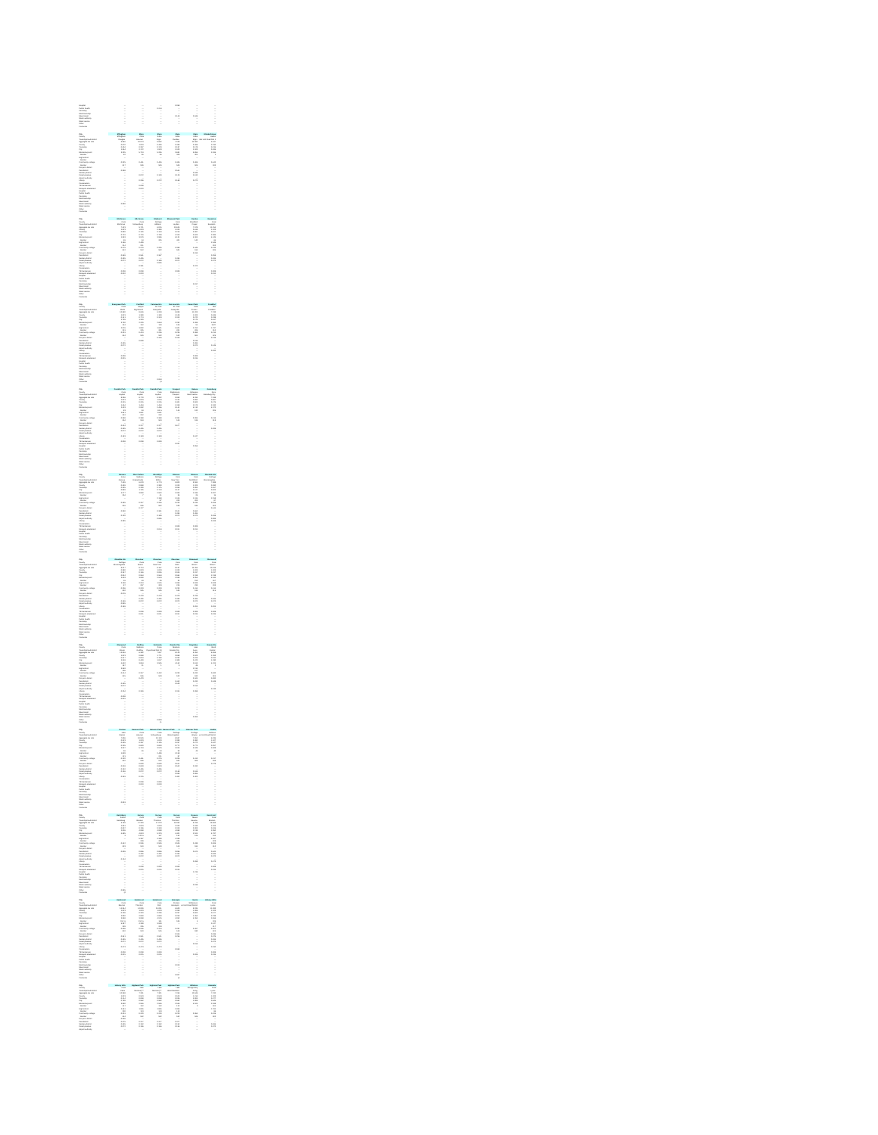|  | والمسابط المستقام والمستقام والمستقاد والمسابق والمستقام والمسابق والمسابق والمسابق والمسابق والمسابق والمسابق والمسابق والمسابق والمسابق والمسابق والمسابق والمسابق والمسابق والمسابق والمسابق والمسابق والمسابق والمسابق وال | المستقل المراقي المستقط والمستقل المستقلة المستقلة المستقلة والمستقلة المستقلة المستقلة والمستقلة المستقلة والمستقلة المستقلة والمستقلة والمستقلة والمستقلة والمستقلة والمستقلة والمستقلة والمستقلة المستقلة المستقلة المستقلة |  |
|--|--------------------------------------------------------------------------------------------------------------------------------------------------------------------------------------------------------------------------------|--------------------------------------------------------------------------------------------------------------------------------------------------------------------------------------------------------------------------------|--|
|  |                                                                                                                                                                                                                                |                                                                                                                                                                                                                                |  |
|  |                                                                                                                                                                                                                                |                                                                                                                                                                                                                                |  |
|  |                                                                                                                                                                                                                                |                                                                                                                                                                                                                                |  |
|  |                                                                                                                                                                                                                                |                                                                                                                                                                                                                                |  |
|  |                                                                                                                                                                                                                                |                                                                                                                                                                                                                                |  |
|  |                                                                                                                                                                                                                                |                                                                                                                                                                                                                                |  |
|  |                                                                                                                                                                                                                                |                                                                                                                                                                                                                                |  |
|  |                                                                                                                                                                                                                                |                                                                                                                                                                                                                                |  |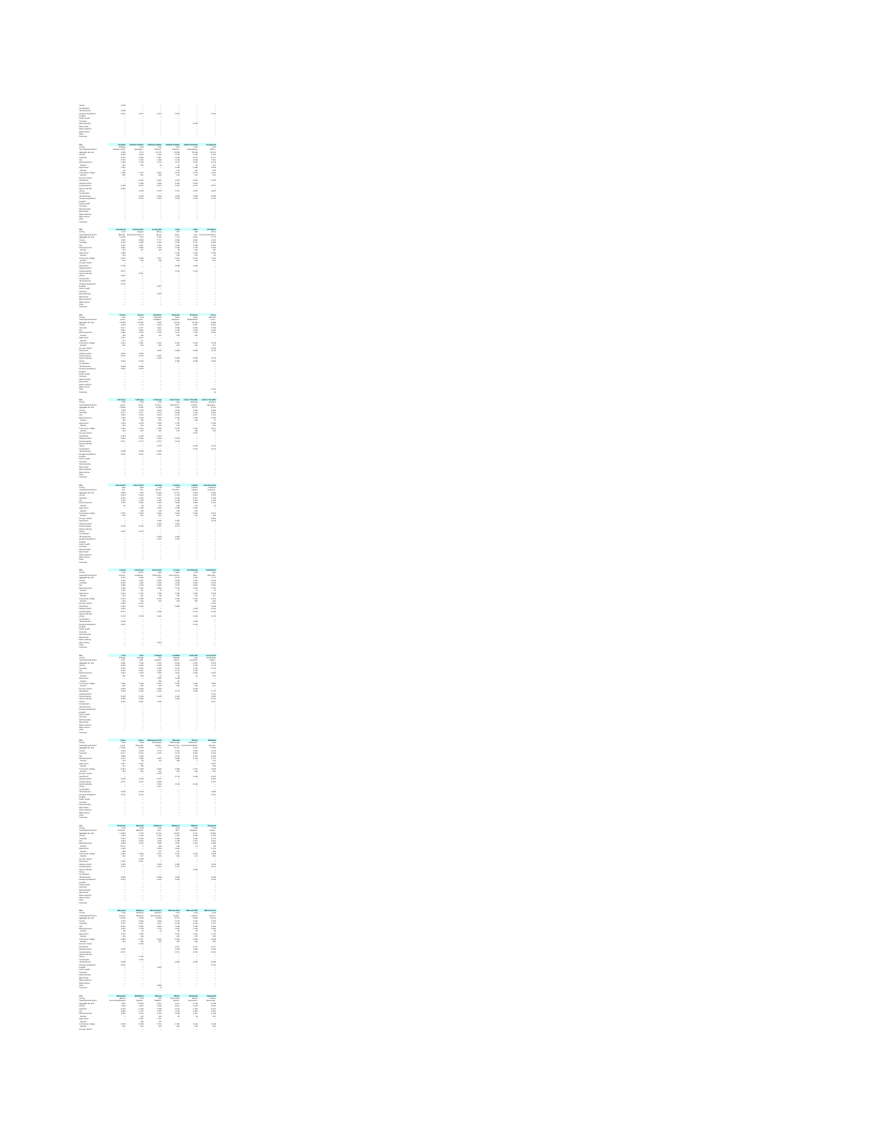|                                                                                          | $\frac{1}{2}$                                                                                                   | <b>1999</b>                                                                                                    |                                                                                                                                                                                                                                | <b>1120</b>                                                                                                                                                                                                                    |
|------------------------------------------------------------------------------------------|-----------------------------------------------------------------------------------------------------------------|----------------------------------------------------------------------------------------------------------------|--------------------------------------------------------------------------------------------------------------------------------------------------------------------------------------------------------------------------------|--------------------------------------------------------------------------------------------------------------------------------------------------------------------------------------------------------------------------------|
|                                                                                          |                                                                                                                 |                                                                                                                |                                                                                                                                                                                                                                |                                                                                                                                                                                                                                |
| ry - Andrew Andrew Andrew Andrew Andrew Andrew Andrew Andrew Andrew Andrew Andrew Andrew |                                                                                                                 | TO SERVE A STATE OF A STATE OF A STATE OF A STATE OF A STATE OF A STATE OF A STATE OF A STATE OF A STATE OF A  | letteration and management and management of the management of the management of the management of the management of the management of the management of the state of the management of the state of the state of the state of | للمستحقة المستنب المستنبي والمستقار والمستقار والمستنب والمستنب المستنب المستقار والمستنب المستنب والمستنب والمستنب والمستنب والمستنب والمستنب والمستنب والمستنب والمستنب والمستنب والمستنب والمستنب والمستنب والمستنب والمستن |
|                                                                                          |                                                                                                                 |                                                                                                                |                                                                                                                                                                                                                                |                                                                                                                                                                                                                                |
|                                                                                          |                                                                                                                 |                                                                                                                |                                                                                                                                                                                                                                |                                                                                                                                                                                                                                |
|                                                                                          |                                                                                                                 |                                                                                                                |                                                                                                                                                                                                                                |                                                                                                                                                                                                                                |
|                                                                                          |                                                                                                                 |                                                                                                                |                                                                                                                                                                                                                                |                                                                                                                                                                                                                                |
|                                                                                          |                                                                                                                 |                                                                                                                |                                                                                                                                                                                                                                |                                                                                                                                                                                                                                |
|                                                                                          | alakanifil seseorika kanandil seseorika saanifilm oleh keseorika kanandil seseorika kanandil seseorika kanandil | diama, and all comparisons are all the comparisons of the comparisons of the comparisons of the comparisons of | a animal session and compared and consider the compared and contribute and consider an analysis and considerate                                                                                                                |                                                                                                                                                                                                                                |
|                                                                                          |                                                                                                                 |                                                                                                                |                                                                                                                                                                                                                                |                                                                                                                                                                                                                                |
| Malayah, Anthras Alisandra Anthralia Anthra Alisan                                       |                                                                                                                 |                                                                                                                |                                                                                                                                                                                                                                |                                                                                                                                                                                                                                |
|                                                                                          |                                                                                                                 |                                                                                                                |                                                                                                                                                                                                                                |                                                                                                                                                                                                                                |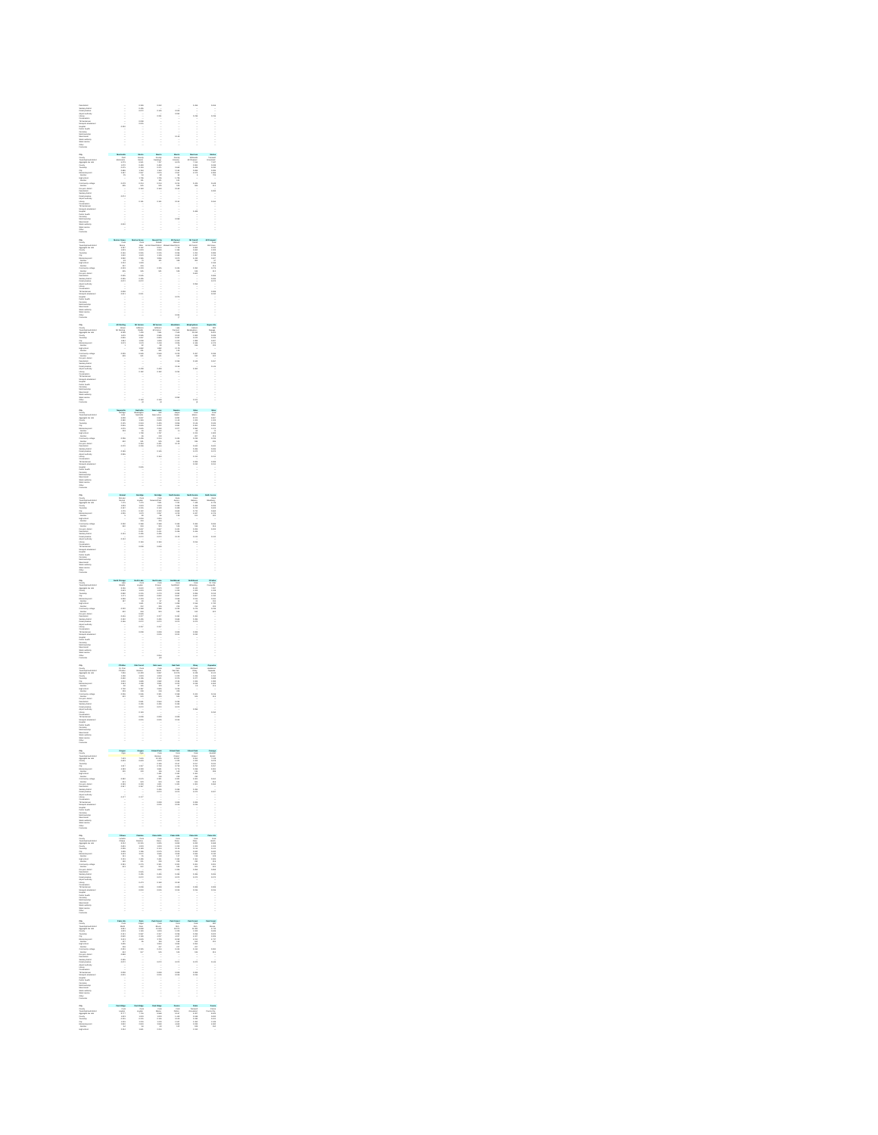|                                                                                                                                                                                                                                |                                                                                                      |                                                                                                                                                                                                                                | <b>All and a complete the complete of the second complete the complete of the complete of the complete of the complete of the complete of the complete of the complete of the complete of the complete of the complete of the c</b> | . Maranasan University of the Company as the proposed of the second particle in the second to the second the company as the company of the company as the company of the second of the second second second second second sec      | $\{a_1,\ldots,a_n\}$ and $\{a_1,\ldots,a_n\}$ and $\{a_1,\ldots,a_n\}$ and $\{a_1,\ldots,a_n\}$ and $\{a_1,\ldots,a_n\}$ and $\{a_1,\ldots,a_n\}$ |                                                                                                                       |
|--------------------------------------------------------------------------------------------------------------------------------------------------------------------------------------------------------------------------------|------------------------------------------------------------------------------------------------------|--------------------------------------------------------------------------------------------------------------------------------------------------------------------------------------------------------------------------------|-------------------------------------------------------------------------------------------------------------------------------------------------------------------------------------------------------------------------------------|------------------------------------------------------------------------------------------------------------------------------------------------------------------------------------------------------------------------------------|---------------------------------------------------------------------------------------------------------------------------------------------------|-----------------------------------------------------------------------------------------------------------------------|
|                                                                                                                                                                                                                                |                                                                                                      |                                                                                                                                                                                                                                |                                                                                                                                                                                                                                     |                                                                                                                                                                                                                                    |                                                                                                                                                   |                                                                                                                       |
|                                                                                                                                                                                                                                |                                                                                                      |                                                                                                                                                                                                                                |                                                                                                                                                                                                                                     |                                                                                                                                                                                                                                    |                                                                                                                                                   |                                                                                                                       |
|                                                                                                                                                                                                                                |                                                                                                      |                                                                                                                                                                                                                                |                                                                                                                                                                                                                                     |                                                                                                                                                                                                                                    |                                                                                                                                                   |                                                                                                                       |
|                                                                                                                                                                                                                                |                                                                                                      |                                                                                                                                                                                                                                |                                                                                                                                                                                                                                     |                                                                                                                                                                                                                                    |                                                                                                                                                   |                                                                                                                       |
|                                                                                                                                                                                                                                |                                                                                                      |                                                                                                                                                                                                                                |                                                                                                                                                                                                                                     |                                                                                                                                                                                                                                    |                                                                                                                                                   |                                                                                                                       |
|                                                                                                                                                                                                                                |                                                                                                      |                                                                                                                                                                                                                                |                                                                                                                                                                                                                                     |                                                                                                                                                                                                                                    |                                                                                                                                                   |                                                                                                                       |
|                                                                                                                                                                                                                                |                                                                                                      |                                                                                                                                                                                                                                |                                                                                                                                                                                                                                     |                                                                                                                                                                                                                                    |                                                                                                                                                   |                                                                                                                       |
|                                                                                                                                                                                                                                |                                                                                                      |                                                                                                                                                                                                                                |                                                                                                                                                                                                                                     |                                                                                                                                                                                                                                    |                                                                                                                                                   |                                                                                                                       |
|                                                                                                                                                                                                                                |                                                                                                      |                                                                                                                                                                                                                                |                                                                                                                                                                                                                                     |                                                                                                                                                                                                                                    |                                                                                                                                                   |                                                                                                                       |
|                                                                                                                                                                                                                                |                                                                                                      |                                                                                                                                                                                                                                |                                                                                                                                                                                                                                     |                                                                                                                                                                                                                                    |                                                                                                                                                   |                                                                                                                       |
|                                                                                                                                                                                                                                |                                                                                                      |                                                                                                                                                                                                                                |                                                                                                                                                                                                                                     |                                                                                                                                                                                                                                    |                                                                                                                                                   |                                                                                                                       |
|                                                                                                                                                                                                                                |                                                                                                      |                                                                                                                                                                                                                                |                                                                                                                                                                                                                                     |                                                                                                                                                                                                                                    |                                                                                                                                                   |                                                                                                                       |
|                                                                                                                                                                                                                                |                                                                                                      |                                                                                                                                                                                                                                |                                                                                                                                                                                                                                     |                                                                                                                                                                                                                                    |                                                                                                                                                   |                                                                                                                       |
|                                                                                                                                                                                                                                |                                                                                                      |                                                                                                                                                                                                                                |                                                                                                                                                                                                                                     |                                                                                                                                                                                                                                    |                                                                                                                                                   |                                                                                                                       |
|                                                                                                                                                                                                                                |                                                                                                      |                                                                                                                                                                                                                                |                                                                                                                                                                                                                                     |                                                                                                                                                                                                                                    |                                                                                                                                                   |                                                                                                                       |
|                                                                                                                                                                                                                                |                                                                                                      |                                                                                                                                                                                                                                |                                                                                                                                                                                                                                     |                                                                                                                                                                                                                                    |                                                                                                                                                   |                                                                                                                       |
|                                                                                                                                                                                                                                |                                                                                                      |                                                                                                                                                                                                                                |                                                                                                                                                                                                                                     |                                                                                                                                                                                                                                    |                                                                                                                                                   |                                                                                                                       |
|                                                                                                                                                                                                                                |                                                                                                      |                                                                                                                                                                                                                                |                                                                                                                                                                                                                                     |                                                                                                                                                                                                                                    |                                                                                                                                                   |                                                                                                                       |
|                                                                                                                                                                                                                                |                                                                                                      |                                                                                                                                                                                                                                |                                                                                                                                                                                                                                     |                                                                                                                                                                                                                                    |                                                                                                                                                   |                                                                                                                       |
|                                                                                                                                                                                                                                |                                                                                                      |                                                                                                                                                                                                                                |                                                                                                                                                                                                                                     |                                                                                                                                                                                                                                    |                                                                                                                                                   |                                                                                                                       |
|                                                                                                                                                                                                                                |                                                                                                      |                                                                                                                                                                                                                                |                                                                                                                                                                                                                                     |                                                                                                                                                                                                                                    |                                                                                                                                                   |                                                                                                                       |
|                                                                                                                                                                                                                                |                                                                                                      |                                                                                                                                                                                                                                |                                                                                                                                                                                                                                     |                                                                                                                                                                                                                                    |                                                                                                                                                   |                                                                                                                       |
|                                                                                                                                                                                                                                |                                                                                                      |                                                                                                                                                                                                                                |                                                                                                                                                                                                                                     |                                                                                                                                                                                                                                    |                                                                                                                                                   |                                                                                                                       |
|                                                                                                                                                                                                                                |                                                                                                      |                                                                                                                                                                                                                                |                                                                                                                                                                                                                                     |                                                                                                                                                                                                                                    |                                                                                                                                                   |                                                                                                                       |
|                                                                                                                                                                                                                                |                                                                                                      |                                                                                                                                                                                                                                |                                                                                                                                                                                                                                     |                                                                                                                                                                                                                                    |                                                                                                                                                   |                                                                                                                       |
|                                                                                                                                                                                                                                |                                                                                                      |                                                                                                                                                                                                                                |                                                                                                                                                                                                                                     |                                                                                                                                                                                                                                    |                                                                                                                                                   |                                                                                                                       |
|                                                                                                                                                                                                                                |                                                                                                      |                                                                                                                                                                                                                                |                                                                                                                                                                                                                                     |                                                                                                                                                                                                                                    |                                                                                                                                                   |                                                                                                                       |
|                                                                                                                                                                                                                                |                                                                                                      |                                                                                                                                                                                                                                |                                                                                                                                                                                                                                     |                                                                                                                                                                                                                                    |                                                                                                                                                   |                                                                                                                       |
|                                                                                                                                                                                                                                |                                                                                                      |                                                                                                                                                                                                                                |                                                                                                                                                                                                                                     |                                                                                                                                                                                                                                    |                                                                                                                                                   |                                                                                                                       |
|                                                                                                                                                                                                                                |                                                                                                      |                                                                                                                                                                                                                                |                                                                                                                                                                                                                                     |                                                                                                                                                                                                                                    |                                                                                                                                                   |                                                                                                                       |
|                                                                                                                                                                                                                                |                                                                                                      |                                                                                                                                                                                                                                |                                                                                                                                                                                                                                     |                                                                                                                                                                                                                                    |                                                                                                                                                   |                                                                                                                       |
|                                                                                                                                                                                                                                |                                                                                                      |                                                                                                                                                                                                                                |                                                                                                                                                                                                                                     |                                                                                                                                                                                                                                    |                                                                                                                                                   |                                                                                                                       |
| THE STATE OF THE RESERVE THE STATE OF THE RESERVE THE STATE OF THE STATE OF THE STATE OF THE STATE OF THE STATE OF THE STATE OF THE STATE OF THE STATE OF THE STATE OF THE STATE OF THE STATE OF THE STATE OF THE STATE OF THE |                                                                                                      |                                                                                                                                                                                                                                |                                                                                                                                                                                                                                     |                                                                                                                                                                                                                                    |                                                                                                                                                   |                                                                                                                       |
|                                                                                                                                                                                                                                |                                                                                                      |                                                                                                                                                                                                                                |                                                                                                                                                                                                                                     |                                                                                                                                                                                                                                    |                                                                                                                                                   |                                                                                                                       |
|                                                                                                                                                                                                                                |                                                                                                      |                                                                                                                                                                                                                                |                                                                                                                                                                                                                                     |                                                                                                                                                                                                                                    | and a state of the company of the state of the state of the state of the state of the state of the state of the                                   | المقارن والمستحقة والمسابير والمستحقة والمسابيس والمستحقة والمسابقة والمستحقة والمستحقة والمسابقة والمستحقة والمسابقة |
|                                                                                                                                                                                                                                |                                                                                                      |                                                                                                                                                                                                                                |                                                                                                                                                                                                                                     |                                                                                                                                                                                                                                    |                                                                                                                                                   |                                                                                                                       |
|                                                                                                                                                                                                                                |                                                                                                      |                                                                                                                                                                                                                                |                                                                                                                                                                                                                                     |                                                                                                                                                                                                                                    |                                                                                                                                                   |                                                                                                                       |
|                                                                                                                                                                                                                                |                                                                                                      |                                                                                                                                                                                                                                |                                                                                                                                                                                                                                     |                                                                                                                                                                                                                                    |                                                                                                                                                   |                                                                                                                       |
|                                                                                                                                                                                                                                |                                                                                                      |                                                                                                                                                                                                                                |                                                                                                                                                                                                                                     |                                                                                                                                                                                                                                    |                                                                                                                                                   |                                                                                                                       |
|                                                                                                                                                                                                                                |                                                                                                      |                                                                                                                                                                                                                                |                                                                                                                                                                                                                                     |                                                                                                                                                                                                                                    |                                                                                                                                                   |                                                                                                                       |
|                                                                                                                                                                                                                                |                                                                                                      |                                                                                                                                                                                                                                |                                                                                                                                                                                                                                     |                                                                                                                                                                                                                                    |                                                                                                                                                   |                                                                                                                       |
|                                                                                                                                                                                                                                |                                                                                                      |                                                                                                                                                                                                                                |                                                                                                                                                                                                                                     |                                                                                                                                                                                                                                    |                                                                                                                                                   |                                                                                                                       |
|                                                                                                                                                                                                                                |                                                                                                      |                                                                                                                                                                                                                                |                                                                                                                                                                                                                                     |                                                                                                                                                                                                                                    |                                                                                                                                                   |                                                                                                                       |
|                                                                                                                                                                                                                                |                                                                                                      |                                                                                                                                                                                                                                |                                                                                                                                                                                                                                     |                                                                                                                                                                                                                                    |                                                                                                                                                   |                                                                                                                       |
|                                                                                                                                                                                                                                |                                                                                                      |                                                                                                                                                                                                                                |                                                                                                                                                                                                                                     |                                                                                                                                                                                                                                    |                                                                                                                                                   |                                                                                                                       |
|                                                                                                                                                                                                                                |                                                                                                      |                                                                                                                                                                                                                                |                                                                                                                                                                                                                                     |                                                                                                                                                                                                                                    |                                                                                                                                                   |                                                                                                                       |
|                                                                                                                                                                                                                                |                                                                                                      |                                                                                                                                                                                                                                |                                                                                                                                                                                                                                     |                                                                                                                                                                                                                                    |                                                                                                                                                   |                                                                                                                       |
|                                                                                                                                                                                                                                |                                                                                                      |                                                                                                                                                                                                                                |                                                                                                                                                                                                                                     |                                                                                                                                                                                                                                    |                                                                                                                                                   |                                                                                                                       |
|                                                                                                                                                                                                                                |                                                                                                      |                                                                                                                                                                                                                                |                                                                                                                                                                                                                                     |                                                                                                                                                                                                                                    |                                                                                                                                                   |                                                                                                                       |
|                                                                                                                                                                                                                                | 1970年,1982年,1982年,1982年,1983年,1983年,1983年,1983年,1983年,1983年,1983年,1983年,1983年,1983年,1983年,1983年,1983 | WESTERN PRESSURE AND DESCRIPTION OF PROPERTY AND RELEASED FOR A SECOND PROPERTY OF A SECOND PROPERTY OF A SECOND PROPERTY OF A SECOND PROPERTY OF A SECOND PROPERTY OF A SECOND PROPERTY OF A SECOND PROPERTY OF A SECOND PROP |                                                                                                                                                                                                                                     |                                                                                                                                                                                                                                    |                                                                                                                                                   |                                                                                                                       |
|                                                                                                                                                                                                                                | <b>M</b>                                                                                             | <b>M</b>                                                                                                                                                                                                                       |                                                                                                                                                                                                                                     | <b>CONTROL</b> Communication of the control of the control of the control of the control of the control of the control of the control of the control of the control of the control of the control of the control of the control of |                                                                                                                                                   |                                                                                                                       |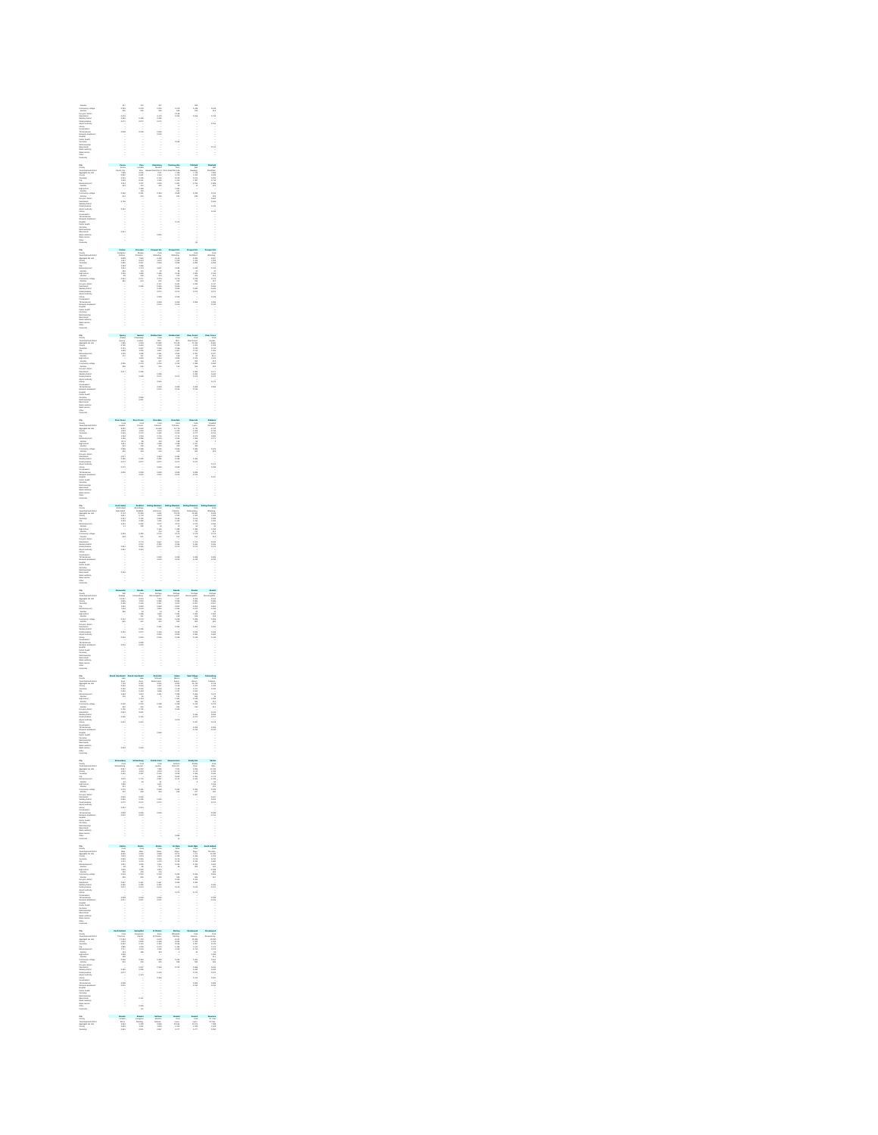|                                                                                                                      |                                                                                              |                                                                     | <b>2008 - Principal Principal Principal Principal Principal Principal Principal Principal Principal Principal Pri</b>                                                                                                         | <b>1</b>                                                                                                       |  |
|----------------------------------------------------------------------------------------------------------------------|----------------------------------------------------------------------------------------------|---------------------------------------------------------------------|-------------------------------------------------------------------------------------------------------------------------------------------------------------------------------------------------------------------------------|----------------------------------------------------------------------------------------------------------------|--|
|                                                                                                                      |                                                                                              |                                                                     |                                                                                                                                                                                                                               |                                                                                                                |  |
|                                                                                                                      |                                                                                              |                                                                     |                                                                                                                                                                                                                               |                                                                                                                |  |
|                                                                                                                      |                                                                                              |                                                                     |                                                                                                                                                                                                                               |                                                                                                                |  |
|                                                                                                                      |                                                                                              |                                                                     |                                                                                                                                                                                                                               |                                                                                                                |  |
|                                                                                                                      |                                                                                              |                                                                     |                                                                                                                                                                                                                               |                                                                                                                |  |
|                                                                                                                      |                                                                                              |                                                                     |                                                                                                                                                                                                                               |                                                                                                                |  |
|                                                                                                                      |                                                                                              |                                                                     |                                                                                                                                                                                                                               |                                                                                                                |  |
|                                                                                                                      |                                                                                              |                                                                     |                                                                                                                                                                                                                               |                                                                                                                |  |
|                                                                                                                      |                                                                                              |                                                                     |                                                                                                                                                                                                                               |                                                                                                                |  |
|                                                                                                                      |                                                                                              |                                                                     |                                                                                                                                                                                                                               |                                                                                                                |  |
|                                                                                                                      |                                                                                              |                                                                     |                                                                                                                                                                                                                               |                                                                                                                |  |
|                                                                                                                      |                                                                                              |                                                                     |                                                                                                                                                                                                                               |                                                                                                                |  |
|                                                                                                                      |                                                                                              |                                                                     |                                                                                                                                                                                                                               |                                                                                                                |  |
|                                                                                                                      |                                                                                              |                                                                     |                                                                                                                                                                                                                               |                                                                                                                |  |
|                                                                                                                      |                                                                                              |                                                                     |                                                                                                                                                                                                                               |                                                                                                                |  |
|                                                                                                                      |                                                                                              |                                                                     |                                                                                                                                                                                                                               |                                                                                                                |  |
|                                                                                                                      |                                                                                              |                                                                     |                                                                                                                                                                                                                               |                                                                                                                |  |
|                                                                                                                      |                                                                                              |                                                                     |                                                                                                                                                                                                                               |                                                                                                                |  |
|                                                                                                                      |                                                                                              |                                                                     |                                                                                                                                                                                                                               |                                                                                                                |  |
|                                                                                                                      |                                                                                              |                                                                     |                                                                                                                                                                                                                               |                                                                                                                |  |
|                                                                                                                      |                                                                                              |                                                                     |                                                                                                                                                                                                                               |                                                                                                                |  |
|                                                                                                                      |                                                                                              |                                                                     |                                                                                                                                                                                                                               |                                                                                                                |  |
|                                                                                                                      |                                                                                              |                                                                     |                                                                                                                                                                                                                               |                                                                                                                |  |
|                                                                                                                      |                                                                                              |                                                                     |                                                                                                                                                                                                                               |                                                                                                                |  |
|                                                                                                                      |                                                                                              |                                                                     |                                                                                                                                                                                                                               |                                                                                                                |  |
|                                                                                                                      |                                                                                              |                                                                     |                                                                                                                                                                                                                               |                                                                                                                |  |
|                                                                                                                      |                                                                                              |                                                                     | and a contribution of the contribution of the contribution of the contribution of the contribution of the contribution of the contribution of the contribution of the contribution of the contribution of the contribution of |                                                                                                                |  |
|                                                                                                                      |                                                                                              |                                                                     |                                                                                                                                                                                                                               |                                                                                                                |  |
|                                                                                                                      |                                                                                              |                                                                     |                                                                                                                                                                                                                               |                                                                                                                |  |
|                                                                                                                      |                                                                                              |                                                                     |                                                                                                                                                                                                                               |                                                                                                                |  |
|                                                                                                                      |                                                                                              |                                                                     |                                                                                                                                                                                                                               |                                                                                                                |  |
|                                                                                                                      |                                                                                              |                                                                     |                                                                                                                                                                                                                               |                                                                                                                |  |
|                                                                                                                      |                                                                                              |                                                                     |                                                                                                                                                                                                                               |                                                                                                                |  |
|                                                                                                                      |                                                                                              |                                                                     |                                                                                                                                                                                                                               |                                                                                                                |  |
|                                                                                                                      |                                                                                              |                                                                     |                                                                                                                                                                                                                               |                                                                                                                |  |
|                                                                                                                      |                                                                                              |                                                                     |                                                                                                                                                                                                                               |                                                                                                                |  |
|                                                                                                                      |                                                                                              |                                                                     |                                                                                                                                                                                                                               |                                                                                                                |  |
|                                                                                                                      |                                                                                              |                                                                     |                                                                                                                                                                                                                               |                                                                                                                |  |
|                                                                                                                      |                                                                                              |                                                                     |                                                                                                                                                                                                                               |                                                                                                                |  |
|                                                                                                                      |                                                                                              |                                                                     |                                                                                                                                                                                                                               |                                                                                                                |  |
|                                                                                                                      |                                                                                              |                                                                     |                                                                                                                                                                                                                               |                                                                                                                |  |
|                                                                                                                      |                                                                                              |                                                                     |                                                                                                                                                                                                                               |                                                                                                                |  |
|                                                                                                                      |                                                                                              |                                                                     |                                                                                                                                                                                                                               |                                                                                                                |  |
|                                                                                                                      |                                                                                              |                                                                     |                                                                                                                                                                                                                               |                                                                                                                |  |
|                                                                                                                      |                                                                                              |                                                                     |                                                                                                                                                                                                                               |                                                                                                                |  |
|                                                                                                                      |                                                                                              |                                                                     |                                                                                                                                                                                                                               |                                                                                                                |  |
|                                                                                                                      |                                                                                              |                                                                     |                                                                                                                                                                                                                               |                                                                                                                |  |
|                                                                                                                      |                                                                                              |                                                                     |                                                                                                                                                                                                                               |                                                                                                                |  |
|                                                                                                                      |                                                                                              |                                                                     |                                                                                                                                                                                                                               |                                                                                                                |  |
|                                                                                                                      |                                                                                              |                                                                     |                                                                                                                                                                                                                               |                                                                                                                |  |
|                                                                                                                      |                                                                                              |                                                                     |                                                                                                                                                                                                                               |                                                                                                                |  |
|                                                                                                                      |                                                                                              |                                                                     |                                                                                                                                                                                                                               |                                                                                                                |  |
|                                                                                                                      |                                                                                              |                                                                     |                                                                                                                                                                                                                               |                                                                                                                |  |
|                                                                                                                      |                                                                                              |                                                                     |                                                                                                                                                                                                                               |                                                                                                                |  |
|                                                                                                                      |                                                                                              |                                                                     |                                                                                                                                                                                                                               |                                                                                                                |  |
|                                                                                                                      |                                                                                              |                                                                     |                                                                                                                                                                                                                               |                                                                                                                |  |
|                                                                                                                      |                                                                                              |                                                                     |                                                                                                                                                                                                                               | 1983858888888888888888888                                                                                      |  |
|                                                                                                                      |                                                                                              |                                                                     |                                                                                                                                                                                                                               |                                                                                                                |  |
|                                                                                                                      |                                                                                              |                                                                     |                                                                                                                                                                                                                               |                                                                                                                |  |
|                                                                                                                      |                                                                                              |                                                                     |                                                                                                                                                                                                                               |                                                                                                                |  |
|                                                                                                                      |                                                                                              |                                                                     |                                                                                                                                                                                                                               |                                                                                                                |  |
|                                                                                                                      |                                                                                              |                                                                     |                                                                                                                                                                                                                               |                                                                                                                |  |
|                                                                                                                      |                                                                                              |                                                                     |                                                                                                                                                                                                                               |                                                                                                                |  |
|                                                                                                                      |                                                                                              |                                                                     |                                                                                                                                                                                                                               |                                                                                                                |  |
|                                                                                                                      |                                                                                              |                                                                     |                                                                                                                                                                                                                               |                                                                                                                |  |
|                                                                                                                      |                                                                                              |                                                                     |                                                                                                                                                                                                                               |                                                                                                                |  |
|                                                                                                                      |                                                                                              |                                                                     |                                                                                                                                                                                                                               |                                                                                                                |  |
|                                                                                                                      |                                                                                              |                                                                     |                                                                                                                                                                                                                               |                                                                                                                |  |
|                                                                                                                      |                                                                                              |                                                                     |                                                                                                                                                                                                                               |                                                                                                                |  |
|                                                                                                                      |                                                                                              |                                                                     |                                                                                                                                                                                                                               |                                                                                                                |  |
|                                                                                                                      |                                                                                              |                                                                     |                                                                                                                                                                                                                               |                                                                                                                |  |
|                                                                                                                      |                                                                                              |                                                                     |                                                                                                                                                                                                                               |                                                                                                                |  |
|                                                                                                                      |                                                                                              |                                                                     |                                                                                                                                                                                                                               |                                                                                                                |  |
|                                                                                                                      |                                                                                              |                                                                     |                                                                                                                                                                                                                               |                                                                                                                |  |
|                                                                                                                      |                                                                                              |                                                                     |                                                                                                                                                                                                                               |                                                                                                                |  |
|                                                                                                                      |                                                                                              |                                                                     |                                                                                                                                                                                                                               |                                                                                                                |  |
|                                                                                                                      |                                                                                              |                                                                     |                                                                                                                                                                                                                               |                                                                                                                |  |
|                                                                                                                      |                                                                                              |                                                                     |                                                                                                                                                                                                                               |                                                                                                                |  |
|                                                                                                                      |                                                                                              |                                                                     |                                                                                                                                                                                                                               |                                                                                                                |  |
|                                                                                                                      |                                                                                              |                                                                     |                                                                                                                                                                                                                               |                                                                                                                |  |
|                                                                                                                      |                                                                                              |                                                                     |                                                                                                                                                                                                                               |                                                                                                                |  |
| <b>COMPONITY PROGRAM CONTROLLED AND CONTRACT OF A SECOND CONTRACT OF A SECOND CONTRACT OF A SECOND CONTRACT OF A</b> |                                                                                              |                                                                     |                                                                                                                                                                                                                               |                                                                                                                |  |
|                                                                                                                      | ENTER ALL EL ABASSESENT MANAGER ERABERT ALL EL ABASSESENT ALL EL ABASSESENT EN EL ABASSESENT | will action that annual communications considered and action action | liji i i                                                                                                                                                                                                                      | 1999, 1999, 1999, 1999, 1999, 1999, 1999, 1999, 1999, 1999, 1999, 1999, 1999, 1999, 1999, 1999, 1999, 1999, 19 |  |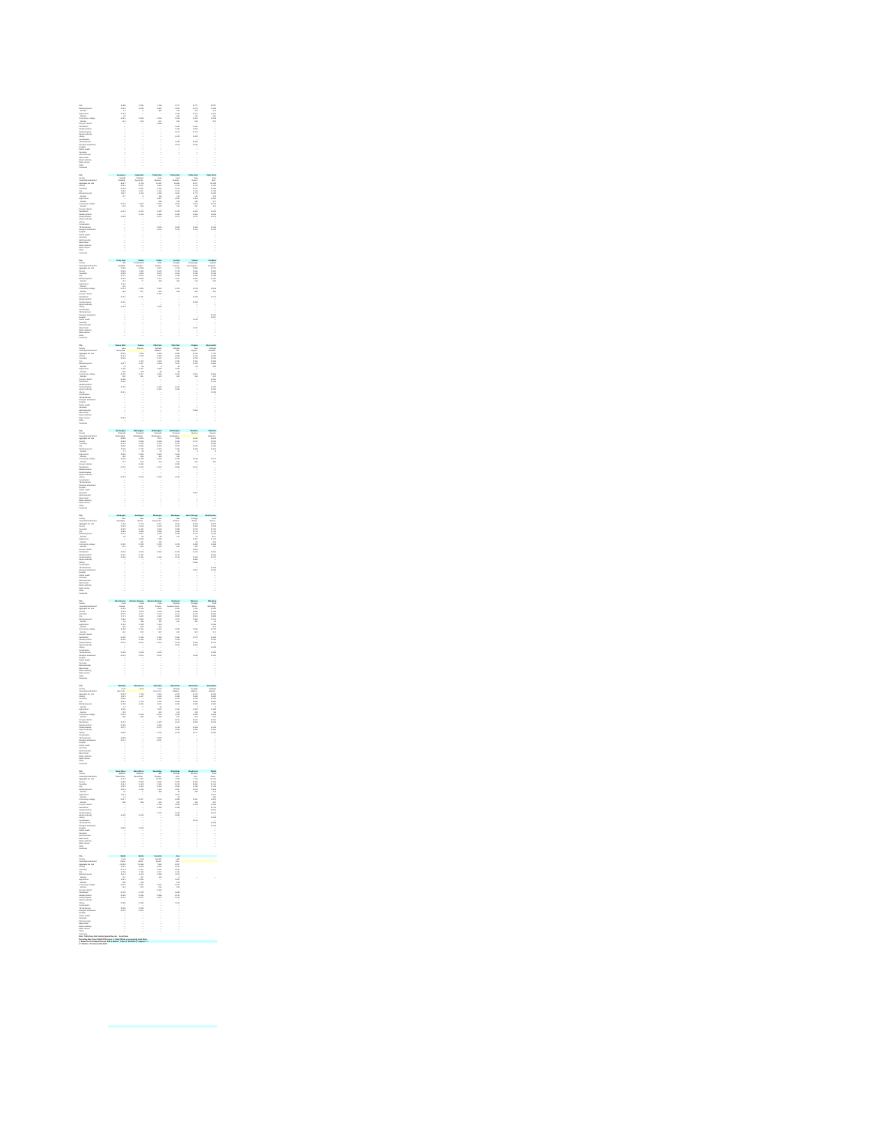|                                                                                                                 |                                                                                                      | はいき はんしょう しょうこう いっこう いっこう いっこう あいじょう                                                                                                                                                                                         |                                                                                                                                                                                                                              |                                                                                                                            |                                                                                                      |
|-----------------------------------------------------------------------------------------------------------------|------------------------------------------------------------------------------------------------------|------------------------------------------------------------------------------------------------------------------------------------------------------------------------------------------------------------------------------|------------------------------------------------------------------------------------------------------------------------------------------------------------------------------------------------------------------------------|----------------------------------------------------------------------------------------------------------------------------|------------------------------------------------------------------------------------------------------|
|                                                                                                                 |                                                                                                      |                                                                                                                                                                                                                              |                                                                                                                                                                                                                              |                                                                                                                            |                                                                                                      |
|                                                                                                                 |                                                                                                      |                                                                                                                                                                                                                              |                                                                                                                                                                                                                              |                                                                                                                            |                                                                                                      |
|                                                                                                                 |                                                                                                      |                                                                                                                                                                                                                              |                                                                                                                                                                                                                              |                                                                                                                            |                                                                                                      |
|                                                                                                                 |                                                                                                      |                                                                                                                                                                                                                              |                                                                                                                                                                                                                              |                                                                                                                            |                                                                                                      |
|                                                                                                                 |                                                                                                      |                                                                                                                                                                                                                              |                                                                                                                                                                                                                              |                                                                                                                            |                                                                                                      |
| PROPOSE CONSULTATIVE CONSULTATIVE CONSULTATIVE CONSULTATIVE CONSULTATIVE CONSULTATIVE CONSULTATIVE CONSULTATIVE |                                                                                                      | as a model of the material decomposition of the component of the contract of the contract of the contract of the contract of the contract of the contract of the contract of the contract of the contract of the contract of | and the component of the component of the component of the component of the component of the component of the component of the component of the component of the component of the component of the component of the componen | with a more parameter and increase a parameter $\mu$ and $\mu$ and $\mu$ and $\mu$ and $\mu$ and $\mu$ and $\mu$ and $\mu$ |                                                                                                      |
|                                                                                                                 |                                                                                                      |                                                                                                                                                                                                                              |                                                                                                                                                                                                                              |                                                                                                                            |                                                                                                      |
|                                                                                                                 | 1992年,1992年,1992年,1992年,1992年,1992年,1992年,1992年,1992年,1992年,1992年,1992年,1992年,1992年,1992年,1992年,1992 |                                                                                                                                                                                                                              |                                                                                                                                                                                                                              |                                                                                                                            | 1970年,1972年,1972年,1972年,1972年,1972年,1972年,1972年,1972年,1972年,1972年,1972年,1972年,1972年,1972年,1972年,1972 |
|                                                                                                                 |                                                                                                      |                                                                                                                                                                                                                              |                                                                                                                                                                                                                              |                                                                                                                            |                                                                                                      |